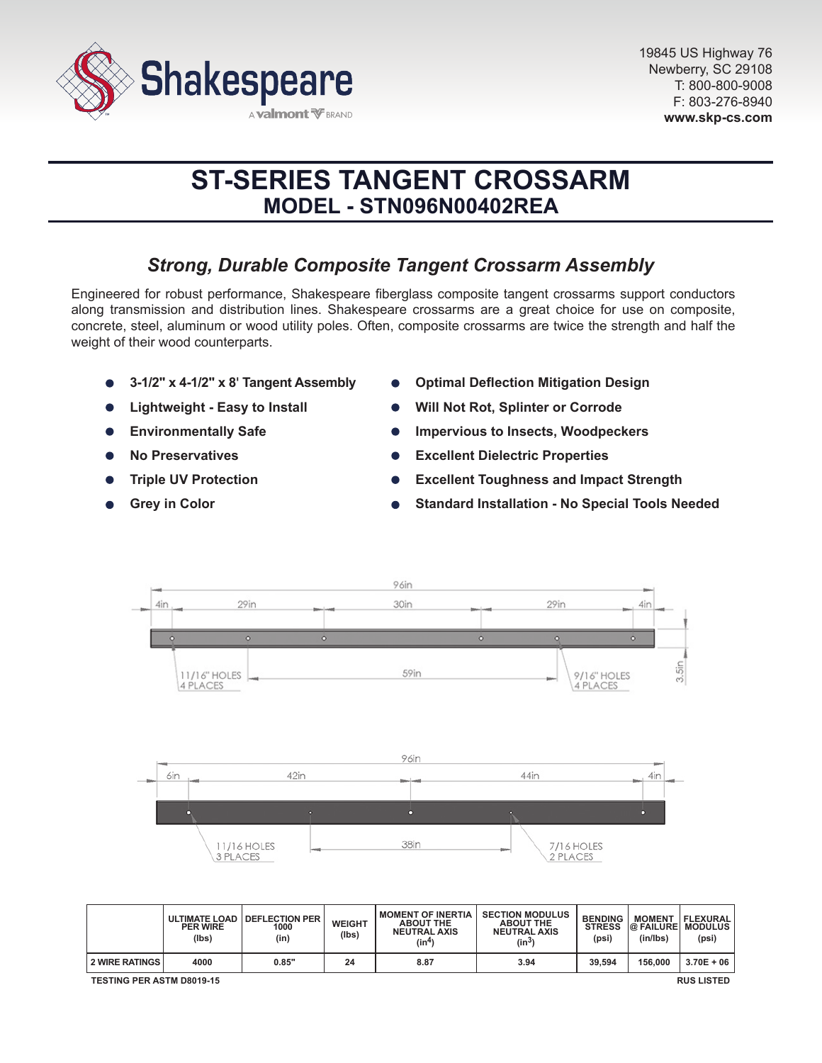

# **ST-SERIES TANGENT CROSSARM MODEL - STN096N00402REA**

# *Strong, Durable Composite Tangent Crossarm Assembly*

Engineered for robust performance, Shakespeare fiberglass composite tangent crossarms support conductors along transmission and distribution lines. Shakespeare crossarms are a great choice for use on composite, concrete, steel, aluminum or wood utility poles. Often, composite crossarms are twice the strength and half the weight of their wood counterparts.

- **3-1/2" x 4-1/2" x 8' Tangent Assembly**
- **Lightweight Easy to Install**
- **Environmentally Safe**  $\bullet$
- **No Preservatives**
- **Triple UV Protection**
- **Grey in Color**
- **Optimal Deflection Mitigation Design**
- **Will Not Rot, Splinter or Corrode**
- **Impervious to Insects, Woodpeckers**
- **Excellent Dielectric Properties**  $\bullet$
- **Excellent Toughness and Impact Strength**
- **Standard Installation No Special Tools Needed**



|                                                       | <b>PER WIRE</b><br>(lbs) | ULTIMATE LOAD   DEFLECTION PER<br>1000<br>(in) | <b>WEIGHT</b><br>(Ibs) | <b>I MOMENT OF INERTIA</b><br><b>ABOUT THE</b><br><b>NEUTRAL AXIS</b><br>(in <sup>4</sup> ) | <b>SECTION MODULUS</b><br><b>ABOUT THE</b><br><b>NEUTRAL AXIS</b><br>(in <sup>3</sup> ) | <b>BENDING</b><br><b>STRESS</b><br>(psi) | <b>MOMENT</b><br>(in/lbs) | <b>FLEXURAL</b><br><b>@ FAILURE MODULUS</b><br>(psi) |
|-------------------------------------------------------|--------------------------|------------------------------------------------|------------------------|---------------------------------------------------------------------------------------------|-----------------------------------------------------------------------------------------|------------------------------------------|---------------------------|------------------------------------------------------|
| <b>2 WIRE RATINGS</b>                                 | 4000                     | 0.85"                                          | 24                     | 8.87                                                                                        | 3.94                                                                                    | 39.594                                   | 156,000                   | $3.70E + 06$                                         |
| <b>RUS LISTED</b><br><b>TESTING PER ASTM D8019-15</b> |                          |                                                |                        |                                                                                             |                                                                                         |                                          |                           |                                                      |